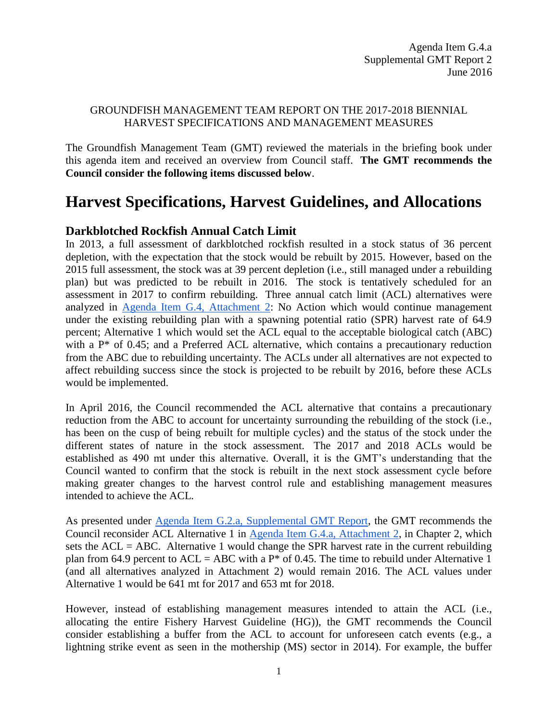## GROUNDFISH MANAGEMENT TEAM REPORT ON THE 2017-2018 BIENNIAL HARVEST SPECIFICATIONS AND MANAGEMENT MEASURES

The Groundfish Management Team (GMT) reviewed the materials in the briefing book under this agenda item and received an overview from Council staff. **The GMT recommends the Council consider the following items discussed below**.

# **Harvest Specifications, Harvest Guidelines, and Allocations**

# **Darkblotched Rockfish Annual Catch Limit**

In 2013, a full assessment of darkblotched rockfish resulted in a stock status of 36 percent depletion, with the expectation that the stock would be rebuilt by 2015. However, based on the 2015 full assessment, the stock was at 39 percent depletion (i.e., still managed under a rebuilding plan) but was predicted to be rebuilt in 2016. The stock is tentatively scheduled for an assessment in 2017 to confirm rebuilding. Three annual catch limit (ACL) alternatives were analyzed in [Agenda Item G.4, Attachment 2:](http://www.pcouncil.org/wp-content/uploads/2016/06/G4_Att2_Analysis_Doc_JUN2016BB.pdf) No Action which would continue management under the existing rebuilding plan with a spawning potential ratio (SPR) harvest rate of 64.9 percent; Alternative 1 which would set the ACL equal to the acceptable biological catch (ABC) with a P\* of 0.45; and a Preferred ACL alternative, which contains a precautionary reduction from the ABC due to rebuilding uncertainty. The ACLs under all alternatives are not expected to affect rebuilding success since the stock is projected to be rebuilt by 2016, before these ACLs would be implemented.

In April 2016, the Council recommended the ACL alternative that contains a precautionary reduction from the ABC to account for uncertainty surrounding the rebuilding of the stock (i.e., has been on the cusp of being rebuilt for multiple cycles) and the status of the stock under the different states of nature in the stock assessment. The 2017 and 2018 ACLs would be established as 490 mt under this alternative. Overall, it is the GMT's understanding that the Council wanted to confirm that the stock is rebuilt in the next stock assessment cycle before making greater changes to the harvest control rule and establishing management measures intended to achieve the ACL.

As presented under [Agenda Item G.2.a, Supplemental GMT Report,](http://www.pcouncil.org/wp-content/uploads/2016/06/G2a_Sup_GMT_Rpt_JUN2016BB.pdf) the GMT recommends the Council reconsider ACL Alternative 1 in [Agenda Item G.4.a, Attachment 2,](http://www.pcouncil.org/wp-content/uploads/2016/06/G4_Att2_Analysis_Doc_JUN2016BB.pdf) in Chapter 2, which sets the  $ACL = ABC$ . Alternative 1 would change the SPR harvest rate in the current rebuilding plan from 64.9 percent to  $ACL = ABC$  with a  $P^*$  of 0.45. The time to rebuild under Alternative 1 (and all alternatives analyzed in Attachment 2) would remain 2016. The ACL values under Alternative 1 would be 641 mt for 2017 and 653 mt for 2018.

However, instead of establishing management measures intended to attain the ACL (i.e., allocating the entire Fishery Harvest Guideline (HG)), the GMT recommends the Council consider establishing a buffer from the ACL to account for unforeseen catch events (e.g., a lightning strike event as seen in the mothership (MS) sector in 2014). For example, the buffer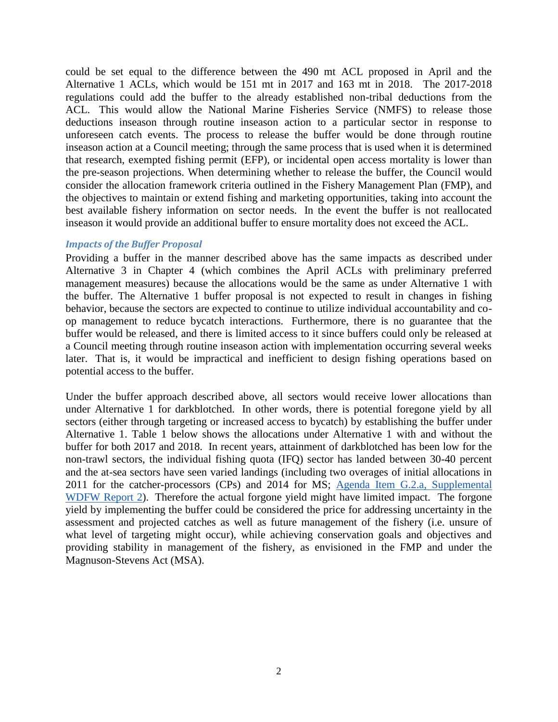could be set equal to the difference between the 490 mt ACL proposed in April and the Alternative 1 ACLs, which would be 151 mt in 2017 and 163 mt in 2018. The 2017-2018 regulations could add the buffer to the already established non-tribal deductions from the ACL. This would allow the National Marine Fisheries Service (NMFS) to release those deductions inseason through routine inseason action to a particular sector in response to unforeseen catch events. The process to release the buffer would be done through routine inseason action at a Council meeting; through the same process that is used when it is determined that research, exempted fishing permit (EFP), or incidental open access mortality is lower than the pre-season projections. When determining whether to release the buffer, the Council would consider the allocation framework criteria outlined in the Fishery Management Plan (FMP), and the objectives to maintain or extend fishing and marketing opportunities, taking into account the best available fishery information on sector needs. In the event the buffer is not reallocated inseason it would provide an additional buffer to ensure mortality does not exceed the ACL.

#### *Impacts of the Buffer Proposal*

Providing a buffer in the manner described above has the same impacts as described under Alternative 3 in Chapter 4 (which combines the April ACLs with preliminary preferred management measures) because the allocations would be the same as under Alternative 1 with the buffer. The Alternative 1 buffer proposal is not expected to result in changes in fishing behavior, because the sectors are expected to continue to utilize individual accountability and coop management to reduce bycatch interactions. Furthermore, there is no guarantee that the buffer would be released, and there is limited access to it since buffers could only be released at a Council meeting through routine inseason action with implementation occurring several weeks later. That is, it would be impractical and inefficient to design fishing operations based on potential access to the buffer.

Under the buffer approach described above, all sectors would receive lower allocations than under Alternative 1 for darkblotched. In other words, there is potential foregone yield by all sectors (either through targeting or increased access to bycatch) by establishing the buffer under Alternative 1. [Table 1](#page-2-0) below shows the allocations under Alternative 1 with and without the buffer for both 2017 and 2018. In recent years, attainment of darkblotched has been low for the non-trawl sectors, the individual fishing quota (IFQ) sector has landed between 30-40 percent and the at-sea sectors have seen varied landings (including two overages of initial allocations in 2011 for the catcher-processors (CPs) and 2014 for MS; [Agenda Item G.2.a, Supplemental](http://www.pcouncil.org/wp-content/uploads/2016/06/G2a_Sup_WDFW_Rpt2_AnalysisAltsRevAM21_JUN2016BB.pdf)  WDFW [Report 2\)](http://www.pcouncil.org/wp-content/uploads/2016/06/G2a_Sup_WDFW_Rpt2_AnalysisAltsRevAM21_JUN2016BB.pdf). Therefore the actual forgone yield might have limited impact. The forgone yield by implementing the buffer could be considered the price for addressing uncertainty in the assessment and projected catches as well as future management of the fishery (i.e. unsure of what level of targeting might occur), while achieving conservation goals and objectives and providing stability in management of the fishery, as envisioned in the FMP and under the Magnuson-Stevens Act (MSA).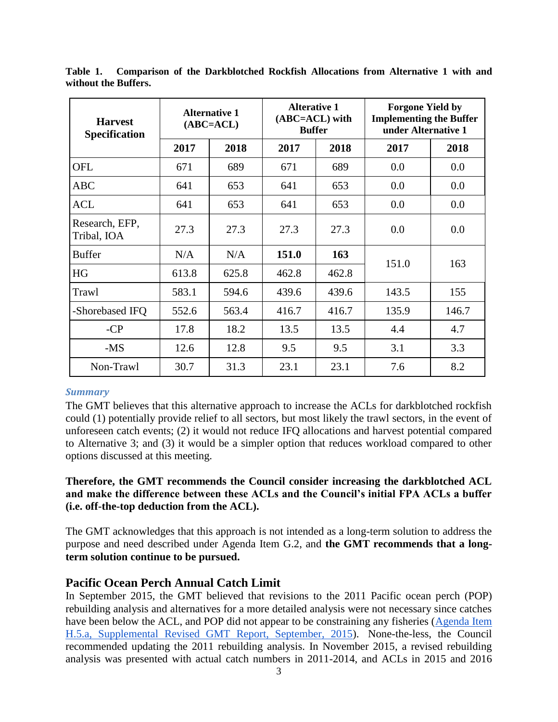| <b>Harvest</b><br><b>Specification</b> |              | <b>Alternative 1</b><br>$(ABC=ACL)$ | <b>Alterative 1</b><br>$(ABC=ACL)$ with<br><b>Buffer</b> |       | <b>Forgone Yield by</b><br><b>Implementing the Buffer</b><br>under Alternative 1 |       |  |  |  |
|----------------------------------------|--------------|-------------------------------------|----------------------------------------------------------|-------|----------------------------------------------------------------------------------|-------|--|--|--|
|                                        | 2017         | 2018                                | 2017                                                     | 2018  | 2017                                                                             | 2018  |  |  |  |
| <b>OFL</b>                             | 671          | 689                                 | 671                                                      | 689   | 0.0                                                                              | 0.0   |  |  |  |
| <b>ABC</b>                             | 641          | 653                                 | 641                                                      | 653   | 0.0                                                                              | 0.0   |  |  |  |
| <b>ACL</b>                             | 641          | 653                                 | 641                                                      | 653   | 0.0                                                                              | 0.0   |  |  |  |
| Research, EFP,<br>Tribal, IOA          | 27.3         | 27.3                                | 27.3                                                     | 27.3  | 0.0                                                                              | 0.0   |  |  |  |
| <b>Buffer</b>                          | N/A          | N/A                                 | 151.0                                                    | 163   |                                                                                  |       |  |  |  |
| HG                                     | 613.8        | 625.8                               | 462.8                                                    | 462.8 | 151.0                                                                            | 163   |  |  |  |
| Trawl                                  | 583.1        | 594.6                               | 439.6                                                    | 439.6 | 143.5                                                                            | 155   |  |  |  |
| -Shorebased IFQ                        | 552.6        | 563.4                               | 416.7                                                    | 416.7 | 135.9                                                                            | 146.7 |  |  |  |
| $-CP$                                  | 17.8<br>18.2 |                                     | 13.5                                                     | 13.5  | 4.4                                                                              | 4.7   |  |  |  |
| $-MS$                                  | 12.6         | 12.8                                | 9.5                                                      | 9.5   | 3.1                                                                              | 3.3   |  |  |  |
| Non-Trawl                              | 30.7         | 31.3                                | 23.1                                                     | 23.1  | 7.6                                                                              | 8.2   |  |  |  |

<span id="page-2-0"></span>**Table 1. Comparison of the Darkblotched Rockfish Allocations from Alternative 1 with and without the Buffers.**

### *Summary*

The GMT believes that this alternative approach to increase the ACLs for darkblotched rockfish could (1) potentially provide relief to all sectors, but most likely the trawl sectors, in the event of unforeseen catch events; (2) it would not reduce IFQ allocations and harvest potential compared to Alternative 3; and (3) it would be a simpler option that reduces workload compared to other options discussed at this meeting.

## **Therefore, the GMT recommends the Council consider increasing the darkblotched ACL and make the difference between these ACLs and the Council's initial FPA ACLs a buffer (i.e. off-the-top deduction from the ACL).**

The GMT acknowledges that this approach is not intended as a long-term solution to address the purpose and need described under Agenda Item G.2, and **the GMT recommends that a longterm solution continue to be pursued.**

## **Pacific Ocean Perch Annual Catch Limit**

In September 2015, the GMT believed that revisions to the 2011 Pacific ocean perch (POP) rebuilding analysis and alternatives for a more detailed analysis were not necessary since catches have been below the ACL, and POP did not appear to be constraining any fisheries (Agenda Item [H.5.a, Supplemental Revised GMT Report, September, 2015\)](http://www.pcouncil.org/wp-content/uploads/2015/09/H5a_SUP_REVISED_GMT_Rpt_SEPT2015BB1.pdf). None-the-less, the Council recommended updating the 2011 rebuilding analysis. In November 2015, a revised rebuilding analysis was presented with actual catch numbers in 2011-2014, and ACLs in 2015 and 2016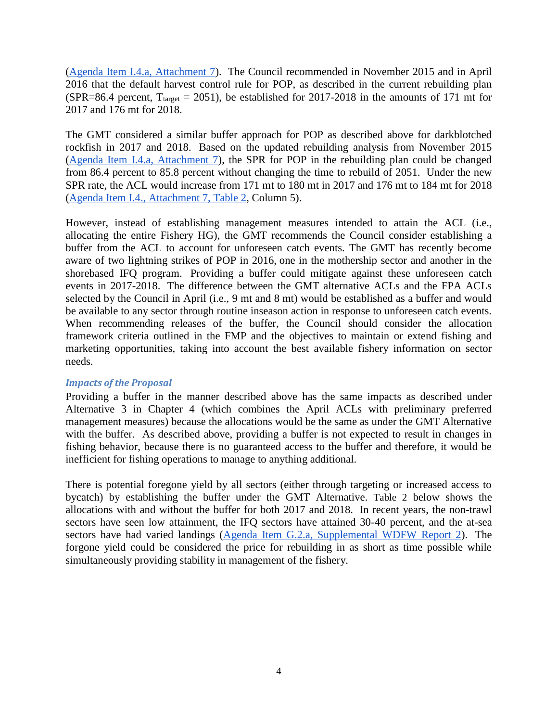[\(Agenda Item I.4.a, Attachment 7\)](http://www.pcouncil.org/wp-content/uploads/2015/10/I4_Att7_POPrebuild2015_Nov2015BB.pdf). The Council recommended in November 2015 and in April 2016 that the default harvest control rule for POP, as described in the current rebuilding plan (SPR=86.4 percent,  $T_{\text{target}} = 2051$ ), be established for 2017-2018 in the amounts of 171 mt for 2017 and 176 mt for 2018.

The GMT considered a similar buffer approach for POP as described above for darkblotched rockfish in 2017 and 2018. Based on the updated rebuilding analysis from November 2015 [\(Agenda Item I.4.a, Attachment 7\)](http://www.pcouncil.org/wp-content/uploads/2015/10/I4_Att7_POPrebuild2015_Nov2015BB.pdf), the SPR for POP in the rebuilding plan could be changed from 86.4 percent to 85.8 percent without changing the time to rebuild of 2051. Under the new SPR rate, the ACL would increase from 171 mt to 180 mt in 2017 and 176 mt to 184 mt for 2018 [\(Agenda Item I.4., Attachment 7, Table 2,](http://www.pcouncil.org/wp-content/uploads/2015/10/I4_Att7_POPrebuild2015_Nov2015BB.pdf) Column 5).

However, instead of establishing management measures intended to attain the ACL (i.e., allocating the entire Fishery HG), the GMT recommends the Council consider establishing a buffer from the ACL to account for unforeseen catch events. The GMT has recently become aware of two lightning strikes of POP in 2016, one in the mothership sector and another in the shorebased IFQ program. Providing a buffer could mitigate against these unforeseen catch events in 2017-2018. The difference between the GMT alternative ACLs and the FPA ACLs selected by the Council in April (i.e., 9 mt and 8 mt) would be established as a buffer and would be available to any sector through routine inseason action in response to unforeseen catch events. When recommending releases of the buffer, the Council should consider the allocation framework criteria outlined in the FMP and the objectives to maintain or extend fishing and marketing opportunities, taking into account the best available fishery information on sector needs.

### *Impacts of the Proposal*

Providing a buffer in the manner described above has the same impacts as described under Alternative 3 in Chapter 4 (which combines the April ACLs with preliminary preferred management measures) because the allocations would be the same as under the GMT Alternative with the buffer. As described above, providing a buffer is not expected to result in changes in fishing behavior, because there is no guaranteed access to the buffer and therefore, it would be inefficient for fishing operations to manage to anything additional.

There is potential foregone yield by all sectors (either through targeting or increased access to bycatch) by establishing the buffer under the GMT Alternative. [Table 2](#page-4-0) below shows the allocations with and without the buffer for both 2017 and 2018. In recent years, the non-trawl sectors have seen low attainment, the IFQ sectors have attained 30-40 percent, and the at-sea sectors have had varied landings [\(Agenda Item G.2.a, Supplemental WDFW Report 2\)](http://www.pcouncil.org/wp-content/uploads/2016/06/G2a_Sup_WDFW_Rpt2_AnalysisAltsRevAM21_JUN2016BB.pdf). The forgone yield could be considered the price for rebuilding in as short as time possible while simultaneously providing stability in management of the fishery.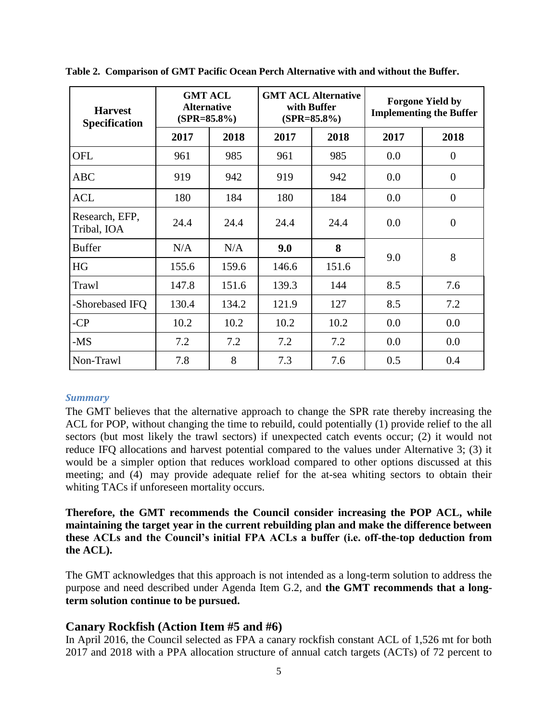| <b>Harvest</b><br><b>Specification</b> | <b>GMT ACL</b><br><b>Alternative</b><br>$(SPR = 85.8\%)$ |       |       | <b>GMT ACL Alternative</b><br>with Buffer<br>$(SPR = 85.8\%)$ | <b>Forgone Yield by</b><br><b>Implementing the Buffer</b> |                |  |  |  |
|----------------------------------------|----------------------------------------------------------|-------|-------|---------------------------------------------------------------|-----------------------------------------------------------|----------------|--|--|--|
|                                        | 2017                                                     | 2018  | 2017  | 2018                                                          | 2017                                                      | 2018           |  |  |  |
| <b>OFL</b>                             | 961                                                      | 985   | 961   | 985                                                           | 0.0                                                       | $\theta$       |  |  |  |
| <b>ABC</b>                             | 919                                                      | 942   | 919   | 942                                                           | 0.0                                                       | $\theta$       |  |  |  |
| <b>ACL</b>                             | 180                                                      | 184   | 180   | 184                                                           | 0.0                                                       | $\theta$       |  |  |  |
| Research, EFP,<br>Tribal, IOA          | 24.4                                                     | 24.4  | 24.4  | 24.4                                                          | 0.0                                                       | $\overline{0}$ |  |  |  |
| <b>Buffer</b>                          | N/A                                                      | N/A   | 9.0   | 8                                                             | 9.0                                                       | 8              |  |  |  |
| HG                                     | 155.6                                                    | 159.6 | 146.6 | 151.6                                                         |                                                           |                |  |  |  |
| Trawl                                  | 147.8                                                    | 151.6 | 139.3 | 144                                                           | 8.5                                                       | 7.6            |  |  |  |
| -Shorebased IFQ                        | 130.4                                                    | 134.2 | 121.9 | 127                                                           | 8.5                                                       | 7.2            |  |  |  |
| $-CP$                                  | 10.2                                                     | 10.2  | 10.2  | 10.2                                                          | 0.0                                                       | 0.0            |  |  |  |
| -MS                                    | 7.2                                                      | 7.2   | 7.2   | 7.2                                                           | 0.0                                                       | 0.0            |  |  |  |
| Non-Trawl                              | 7.8                                                      | 8     | 7.3   | 7.6                                                           | 0.5                                                       | 0.4            |  |  |  |

<span id="page-4-0"></span>**Table 2. Comparison of GMT Pacific Ocean Perch Alternative with and without the Buffer.**

### *Summary*

The GMT believes that the alternative approach to change the SPR rate thereby increasing the ACL for POP, without changing the time to rebuild, could potentially (1) provide relief to the all sectors (but most likely the trawl sectors) if unexpected catch events occur; (2) it would not reduce IFQ allocations and harvest potential compared to the values under Alternative 3; (3) it would be a simpler option that reduces workload compared to other options discussed at this meeting; and (4) may provide adequate relief for the at-sea whiting sectors to obtain their whiting TACs if unforeseen mortality occurs.

**Therefore, the GMT recommends the Council consider increasing the POP ACL, while maintaining the target year in the current rebuilding plan and make the difference between these ACLs and the Council's initial FPA ACLs a buffer (i.e. off-the-top deduction from the ACL).** 

The GMT acknowledges that this approach is not intended as a long-term solution to address the purpose and need described under Agenda Item G.2, and **the GMT recommends that a longterm solution continue to be pursued.**

## **Canary Rockfish (Action Item #5 and #6)**

In April 2016, the Council selected as FPA a canary rockfish constant ACL of 1,526 mt for both 2017 and 2018 with a PPA allocation structure of annual catch targets (ACTs) of 72 percent to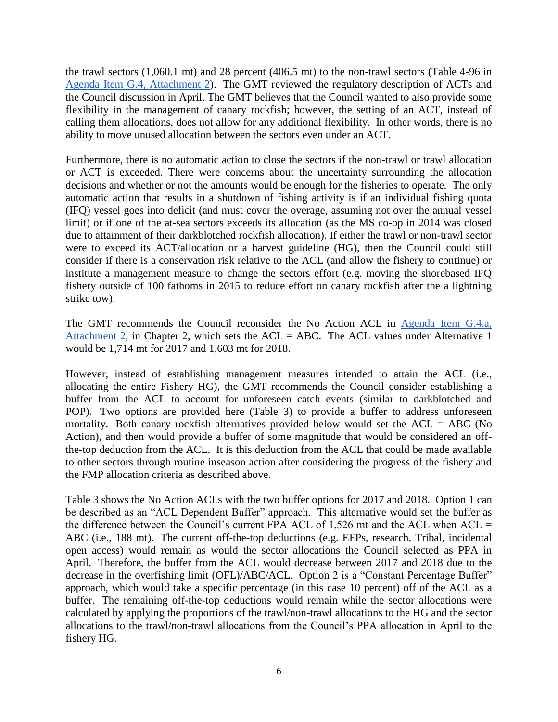the trawl sectors (1,060.1 mt) and 28 percent (406.5 mt) to the non-trawl sectors (Table 4-96 in [Agenda Item G.4, Attachment 2\)](http://www.pcouncil.org/wp-content/uploads/2016/06/G4_Att2_Analysis_Doc_JUN2016BB.pdf). The GMT reviewed the regulatory description of ACTs and the Council discussion in April. The GMT believes that the Council wanted to also provide some flexibility in the management of canary rockfish; however, the setting of an ACT, instead of calling them allocations, does not allow for any additional flexibility. In other words, there is no ability to move unused allocation between the sectors even under an ACT.

Furthermore, there is no automatic action to close the sectors if the non-trawl or trawl allocation or ACT is exceeded. There were concerns about the uncertainty surrounding the allocation decisions and whether or not the amounts would be enough for the fisheries to operate. The only automatic action that results in a shutdown of fishing activity is if an individual fishing quota (IFQ) vessel goes into deficit (and must cover the overage, assuming not over the annual vessel limit) or if one of the at-sea sectors exceeds its allocation (as the MS co-op in 2014 was closed due to attainment of their darkblotched rockfish allocation). If either the trawl or non-trawl sector were to exceed its ACT/allocation or a harvest guideline (HG), then the Council could still consider if there is a conservation risk relative to the ACL (and allow the fishery to continue) or institute a management measure to change the sectors effort (e.g. moving the shorebased IFQ fishery outside of 100 fathoms in 2015 to reduce effort on canary rockfish after the a lightning strike tow).

The GMT recommends the Council reconsider the No Action ACL in [Agenda Item G.4.a,](http://www.pcouncil.org/wp-content/uploads/2016/06/G4_Att2_Analysis_Doc_JUN2016BB.pdf)  [Attachment 2,](http://www.pcouncil.org/wp-content/uploads/2016/06/G4_Att2_Analysis_Doc_JUN2016BB.pdf) in Chapter 2, which sets the  $ACL = ABC$ . The  $ACL$  values under Alternative 1 would be 1,714 mt for 2017 and 1,603 mt for 2018.

However, instead of establishing management measures intended to attain the ACL (i.e., allocating the entire Fishery HG), the GMT recommends the Council consider establishing a buffer from the ACL to account for unforeseen catch events (similar to darkblotched and POP). Two options are provided here [\(Table 3\)](#page-6-0) to provide a buffer to address unforeseen mortality. Both canary rockfish alternatives provided below would set the  $ACL = ABC$  (No Action), and then would provide a buffer of some magnitude that would be considered an offthe-top deduction from the ACL. It is this deduction from the ACL that could be made available to other sectors through routine inseason action after considering the progress of the fishery and the FMP allocation criteria as described above.

[Table 3](#page-6-0) shows the No Action ACLs with the two buffer options for 2017 and 2018. Option 1 can be described as an "ACL Dependent Buffer" approach. This alternative would set the buffer as the difference between the Council's current FPA ACL of 1,526 mt and the ACL when  $ACL =$ ABC (i.e., 188 mt). The current off-the-top deductions (e.g. EFPs, research, Tribal, incidental open access) would remain as would the sector allocations the Council selected as PPA in April. Therefore, the buffer from the ACL would decrease between 2017 and 2018 due to the decrease in the overfishing limit (OFL)/ABC/ACL. Option 2 is a "Constant Percentage Buffer" approach, which would take a specific percentage (in this case 10 percent) off of the ACL as a buffer. The remaining off-the-top deductions would remain while the sector allocations were calculated by applying the proportions of the trawl/non-trawl allocations to the HG and the sector allocations to the trawl/non-trawl allocations from the Council's PPA allocation in April to the fishery HG.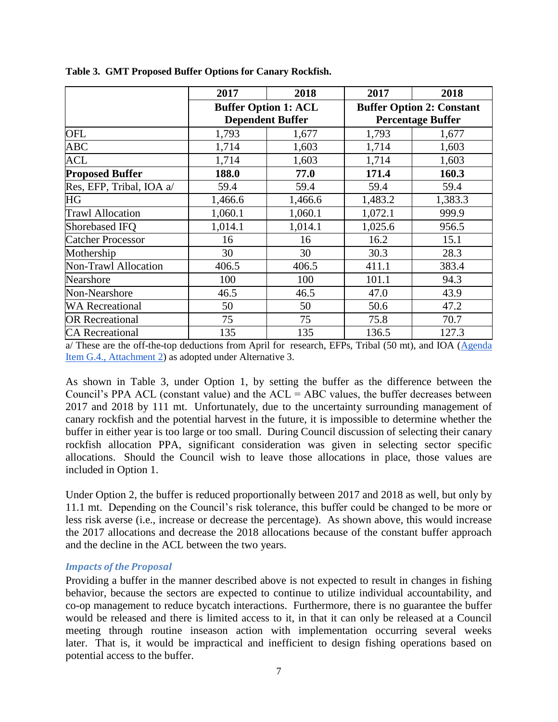|                          | 2017                                                   | 2018    | 2017                                                         | 2018    |  |  |  |  |
|--------------------------|--------------------------------------------------------|---------|--------------------------------------------------------------|---------|--|--|--|--|
|                          | <b>Buffer Option 1: ACL</b><br><b>Dependent Buffer</b> |         | <b>Buffer Option 2: Constant</b><br><b>Percentage Buffer</b> |         |  |  |  |  |
| <b>OFL</b>               | 1,793                                                  | 1,677   | 1,793                                                        | 1,677   |  |  |  |  |
| <b>ABC</b>               | 1,714                                                  | 1,603   | 1,714                                                        | 1,603   |  |  |  |  |
| <b>ACL</b>               | 1,714                                                  | 1,603   | 1,714                                                        | 1,603   |  |  |  |  |
| <b>Proposed Buffer</b>   | 188.0                                                  | 77.0    | 171.4                                                        | 160.3   |  |  |  |  |
| Res, EFP, Tribal, IOA a/ | 59.4                                                   | 59.4    | 59.4                                                         | 59.4    |  |  |  |  |
| <b>HG</b>                | 1,466.6                                                | 1,466.6 | 1,483.2                                                      | 1,383.3 |  |  |  |  |
| <b>Trawl Allocation</b>  | 1,060.1                                                | 1,060.1 | 1,072.1                                                      | 999.9   |  |  |  |  |
| Shorebased IFQ           | 1,014.1                                                | 1,014.1 | 1,025.6                                                      | 956.5   |  |  |  |  |
| <b>Catcher Processor</b> | 16                                                     | 16      | 16.2                                                         | 15.1    |  |  |  |  |
| Mothership               | 30                                                     | 30      | 30.3                                                         | 28.3    |  |  |  |  |
| Non-Trawl Allocation     | 406.5                                                  | 406.5   | 411.1                                                        | 383.4   |  |  |  |  |
| Nearshore                | 100                                                    | 100     | 101.1                                                        | 94.3    |  |  |  |  |
| Non-Nearshore            | 46.5                                                   | 46.5    | 47.0                                                         | 43.9    |  |  |  |  |
| <b>WA Recreational</b>   | 50                                                     | 50      | 50.6                                                         | 47.2    |  |  |  |  |
| <b>OR Recreational</b>   | 75                                                     | 75      | 75.8                                                         | 70.7    |  |  |  |  |
| <b>CA</b> Recreational   | 135                                                    | 135     | 136.5                                                        | 127.3   |  |  |  |  |

<span id="page-6-0"></span>**Table 3. GMT Proposed Buffer Options for Canary Rockfish.**

a/ These are the off-the-top deductions from April for research, EFPs, Tribal (50 mt), and IOA (Agenda [Item G.4., Attachment 2\)](http://www.pcouncil.org/wp-content/uploads/2016/06/G4_Att2_Analysis_Doc_JUN2016BB.pdf) as adopted under Alternative 3.

As shown in [Table 3,](#page-6-0) under Option 1, by setting the buffer as the difference between the Council's PPA ACL (constant value) and the  $ACL = ABC$  values, the buffer decreases between 2017 and 2018 by 111 mt. Unfortunately, due to the uncertainty surrounding management of canary rockfish and the potential harvest in the future, it is impossible to determine whether the buffer in either year is too large or too small. During Council discussion of selecting their canary rockfish allocation PPA, significant consideration was given in selecting sector specific allocations. Should the Council wish to leave those allocations in place, those values are included in Option 1.

Under Option 2, the buffer is reduced proportionally between 2017 and 2018 as well, but only by 11.1 mt. Depending on the Council's risk tolerance, this buffer could be changed to be more or less risk averse (i.e., increase or decrease the percentage). As shown above, this would increase the 2017 allocations and decrease the 2018 allocations because of the constant buffer approach and the decline in the ACL between the two years.

#### *Impacts of the Proposal*

Providing a buffer in the manner described above is not expected to result in changes in fishing behavior, because the sectors are expected to continue to utilize individual accountability, and co-op management to reduce bycatch interactions. Furthermore, there is no guarantee the buffer would be released and there is limited access to it, in that it can only be released at a Council meeting through routine inseason action with implementation occurring several weeks later. That is, it would be impractical and inefficient to design fishing operations based on potential access to the buffer.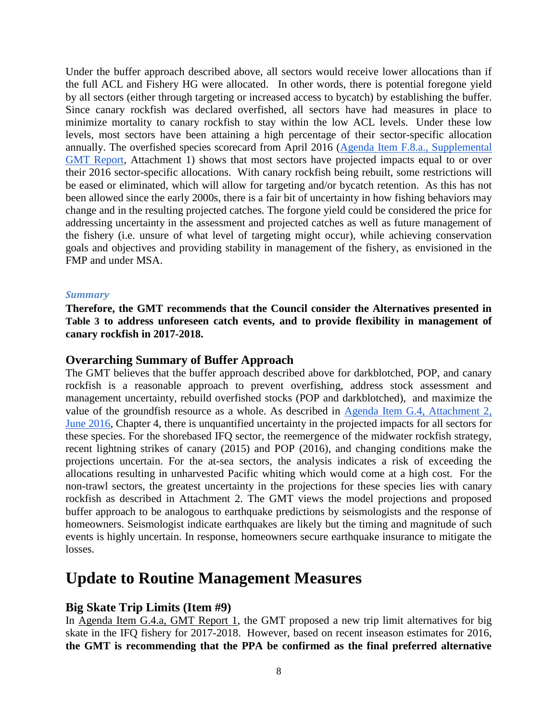Under the buffer approach described above, all sectors would receive lower allocations than if the full ACL and Fishery HG were allocated. In other words, there is potential foregone yield by all sectors (either through targeting or increased access to bycatch) by establishing the buffer. Since canary rockfish was declared overfished, all sectors have had measures in place to minimize mortality to canary rockfish to stay within the low ACL levels. Under these low levels, most sectors have been attaining a high percentage of their sector-specific allocation annually. The overfished species scorecard from April 2016 [\(Agenda Item F.8.a., Supplemental](http://www.pcouncil.org/wp-content/uploads/2016/04/F8a_GMT_Rpt_Inseason_APR2016BB.pdf)  [GMT Report,](http://www.pcouncil.org/wp-content/uploads/2016/04/F8a_GMT_Rpt_Inseason_APR2016BB.pdf) Attachment 1) shows that most sectors have projected impacts equal to or over their 2016 sector-specific allocations. With canary rockfish being rebuilt, some restrictions will be eased or eliminated, which will allow for targeting and/or bycatch retention. As this has not been allowed since the early 2000s, there is a fair bit of uncertainty in how fishing behaviors may change and in the resulting projected catches. The forgone yield could be considered the price for addressing uncertainty in the assessment and projected catches as well as future management of the fishery (i.e. unsure of what level of targeting might occur), while achieving conservation goals and objectives and providing stability in management of the fishery, as envisioned in the FMP and under MSA.

#### *Summary*

**Therefore, the GMT recommends that the Council consider the Alternatives presented in [Table 3](#page-6-0) to address unforeseen catch events, and to provide flexibility in management of canary rockfish in 2017-2018.**

#### **Overarching Summary of Buffer Approach**

The GMT believes that the buffer approach described above for darkblotched, POP, and canary rockfish is a reasonable approach to prevent overfishing, address stock assessment and management uncertainty, rebuild overfished stocks (POP and darkblotched), and maximize the value of the groundfish resource as a whole. As described in [Agenda Item G.4, Attachment 2,](http://www.pcouncil.org/wp-content/uploads/2016/06/G4_Att2_Analysis_Doc_JUN2016BB.pdf)  [June 2016,](http://www.pcouncil.org/wp-content/uploads/2016/06/G4_Att2_Analysis_Doc_JUN2016BB.pdf) Chapter 4, there is unquantified uncertainty in the projected impacts for all sectors for these species. For the shorebased IFQ sector, the reemergence of the midwater rockfish strategy, recent lightning strikes of canary (2015) and POP (2016), and changing conditions make the projections uncertain. For the at-sea sectors, the analysis indicates a risk of exceeding the allocations resulting in unharvested Pacific whiting which would come at a high cost. For the non-trawl sectors, the greatest uncertainty in the projections for these species lies with canary rockfish as described in Attachment 2. The GMT views the model projections and proposed buffer approach to be analogous to earthquake predictions by seismologists and the response of homeowners. Seismologist indicate earthquakes are likely but the timing and magnitude of such events is highly uncertain. In response, homeowners secure earthquake insurance to mitigate the losses.

# **Update to Routine Management Measures**

### **Big Skate Trip Limits (Item #9)**

In [Agenda Item G.4.a, GMT Report 1,](http://www.pcouncil.org/wp-content/uploads/2016/06/G4a_GMT_Rpt_17-18_MM_JUN2016BB.pdf) the GMT proposed a new trip limit alternatives for big skate in the IFQ fishery for 2017-2018. However, based on recent inseason estimates for 2016, **the GMT is recommending that the PPA be confirmed as the final preferred alternative**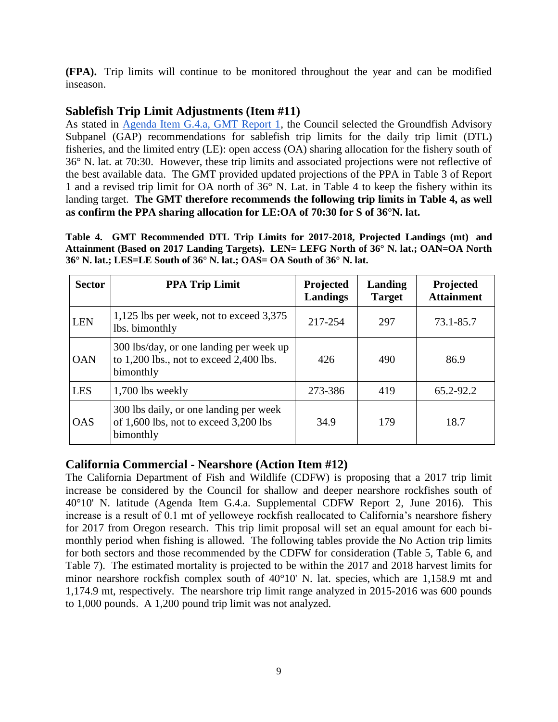**(FPA).** Trip limits will continue to be monitored throughout the year and can be modified inseason.

# **Sablefish Trip Limit Adjustments (Item #11)**

As stated in [Agenda Item G.4.a, GMT Report 1,](http://www.pcouncil.org/wp-content/uploads/2016/06/G4a_GMT_Rpt_17-18_MM_JUN2016BB.pdf) the Council selected the Groundfish Advisory Subpanel (GAP) recommendations for sablefish trip limits for the daily trip limit (DTL) fisheries, and the limited entry (LE): open access (OA) sharing allocation for the fishery south of 36° N. lat. at 70:30. However, these trip limits and associated projections were not reflective of the best available data. The GMT provided updated projections of the PPA in Table 3 of Report 1 and a revised trip limit for OA north of 36° N. Lat. in [Table 4](#page-8-0) to keep the fishery within its landing target. **The GMT therefore recommends the following trip limits in [Table 4,](#page-8-0) as well as confirm the PPA sharing allocation for LE:OA of 70:30 for S of 36°N. lat.**

<span id="page-8-0"></span>**Table 4. GMT Recommended DTL Trip Limits for 2017-2018, Projected Landings (mt) and Attainment (Based on 2017 Landing Targets). LEN= LEFG North of 36° N. lat.; OAN=OA North 36° N. lat.; LES=LE South of 36° N. lat.; OAS= OA South of 36° N. lat.**

| <b>Sector</b> | <b>PPA Trip Limit</b>                                                                               | Projected<br>Landings | Landing<br><b>Target</b> | Projected<br><b>Attainment</b> |
|---------------|-----------------------------------------------------------------------------------------------------|-----------------------|--------------------------|--------------------------------|
| <b>LEN</b>    | 1,125 lbs per week, not to exceed 3,375<br>lbs. bimonthly                                           | 217-254               | 297                      | 73.1-85.7                      |
| <b>OAN</b>    | 300 lbs/day, or one landing per week up<br>to $1,200$ lbs., not to exceed $2,400$ lbs.<br>bimonthly | 426                   | 490                      | 86.9                           |
| <b>LES</b>    | 1,700 lbs weekly                                                                                    | 273-386               | 419                      | 65.2-92.2                      |
| <b>OAS</b>    | 300 lbs daily, or one landing per week<br>of 1,600 lbs, not to exceed 3,200 lbs<br>bimonthly        | 34.9                  | 179                      | 18.7                           |

# **California Commercial - Nearshore (Action Item #12)**

The California Department of Fish and Wildlife (CDFW) is proposing that a 2017 trip limit increase be considered by the Council for shallow and deeper nearshore rockfishes south of 40°10' N. latitude (Agenda Item G.4.a. Supplemental CDFW Report 2, June 2016). This increase is a result of 0.1 mt of yelloweye rockfish reallocated to California's nearshore fishery for 2017 from Oregon research. This trip limit proposal will set an equal amount for each bimonthly period when fishing is allowed. The following tables provide the No Action trip limits for both sectors and those recommended by the CDFW for consideration [\(Table 5,](#page-9-0) [Table 6,](#page-9-1) and [Table 7\)](#page-9-2). The estimated mortality is projected to be within the 2017 and 2018 harvest limits for minor nearshore rockfish complex south of 40°10' N. lat. species, which are 1,158.9 mt and 1,174.9 mt, respectively. The nearshore trip limit range analyzed in 2015-2016 was 600 pounds to 1,000 pounds. A 1,200 pound trip limit was not analyzed.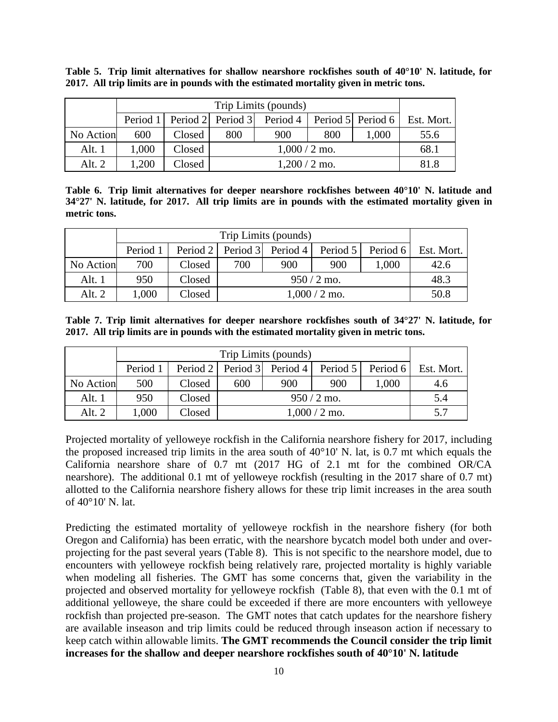|           |       |        |     | Trip Limits (pounds) |     |       |                                                                              |
|-----------|-------|--------|-----|----------------------|-----|-------|------------------------------------------------------------------------------|
|           |       |        |     |                      |     |       | Period 1   Period 2   Period 3   Period 4   Period 5   Period 6   Est. Mort. |
| No Action | 600   | Closed | 800 | 900                  | 800 | 1,000 | 55.6                                                                         |
| Alt. 1    | 1,000 | Closed |     | $1,000/2$ mo.        |     |       | 68.1                                                                         |
| Alt. $2$  | 1,200 | Closed |     | $1,200/2$ mo.        |     |       | 81.8                                                                         |

<span id="page-9-0"></span>**Table 5. Trip limit alternatives for shallow nearshore rockfishes south of 40°10' N. latitude, for 2017. All trip limits are in pounds with the estimated mortality given in metric tons.**

<span id="page-9-1"></span>**Table 6. Trip limit alternatives for deeper nearshore rockfishes between 40°10' N. latitude and 34°27' N. latitude, for 2017. All trip limits are in pounds with the estimated mortality given in metric tons.**

|           |          |        |     | Trip Limits (pounds)                         |               |       |                     |
|-----------|----------|--------|-----|----------------------------------------------|---------------|-------|---------------------|
|           | Period 1 |        |     | Period 2   Period 3   Period 4  <br>Period 5 |               |       | Period 6 Est. Mort. |
| No Action | 700      | Closed | 700 | 900                                          | 900           | 1,000 | 42.6                |
| Alt. $1$  | 950      | Closed |     |                                              | $950/2$ mo.   |       | 48.3                |
| Alt. $2$  | 1,000    | Closed |     |                                              | $1,000/2$ mo. |       | 50.8                |

<span id="page-9-2"></span>**Table 7. Trip limit alternatives for deeper nearshore rockfishes south of 34°27' N. latitude, for 2017. All trip limits are in pounds with the estimated mortality given in metric tons.**

|           |          |        |     | Trip Limits (pounds)           |               |                     |     |
|-----------|----------|--------|-----|--------------------------------|---------------|---------------------|-----|
|           | Period 1 |        |     | Period 2   Period 3   Period 4 | Period 5      | Period 6 Est. Mort. |     |
| No Action | 500      | Closed | 600 | 900                            | 900           | 1,000               | 4.6 |
| Alt. 1    | 950      | Closed |     |                                | $950/2$ mo.   |                     | 5.4 |
| Alt. $2$  | 1,000    | Closed |     |                                | $1,000/2$ mo. |                     | 5.7 |

Projected mortality of yelloweye rockfish in the California nearshore fishery for 2017, including the proposed increased trip limits in the area south of 40°10' N. lat, is 0.7 mt which equals the California nearshore share of 0.7 mt (2017 HG of 2.1 mt for the combined OR/CA nearshore). The additional 0.1 mt of yelloweye rockfish (resulting in the 2017 share of 0.7 mt) allotted to the California nearshore fishery allows for these trip limit increases in the area south of 40°10' N. lat.

Predicting the estimated mortality of yelloweye rockfish in the nearshore fishery (for both Oregon and California) has been erratic, with the nearshore bycatch model both under and overprojecting for the past several years [\(Table 8\)](#page-10-0). This is not specific to the nearshore model, due to encounters with yelloweye rockfish being relatively rare, projected mortality is highly variable when modeling all fisheries. The GMT has some concerns that, given the variability in the projected and observed mortality for yelloweye rockfish [\(Table 8\)](#page-10-0), that even with the 0.1 mt of additional yelloweye, the share could be exceeded if there are more encounters with yelloweye rockfish than projected pre-season. The GMT notes that catch updates for the nearshore fishery are available inseason and trip limits could be reduced through inseason action if necessary to keep catch within allowable limits. **The GMT recommends the Council consider the trip limit increases for the shallow and deeper nearshore rockfishes south of 40°10' N. latitude**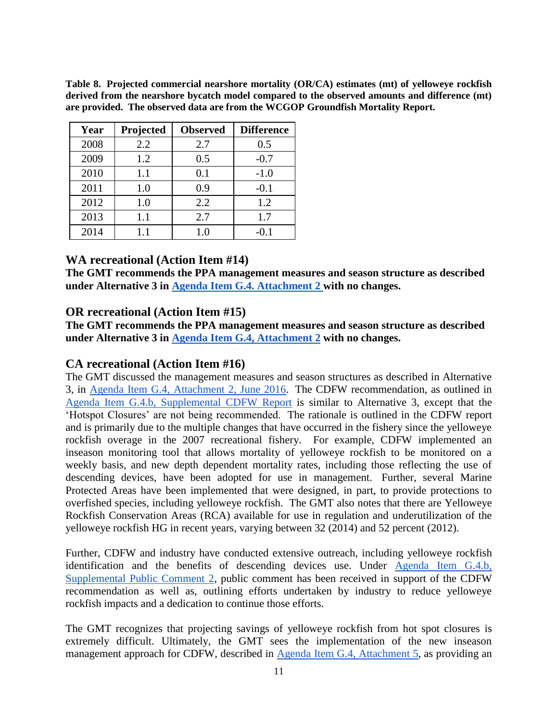<span id="page-10-0"></span>**Table 8. Projected commercial nearshore mortality (OR/CA) estimates (mt) of yelloweye rockfish derived from the nearshore bycatch model compared to the observed amounts and difference (mt) are provided. The observed data are from the WCGOP Groundfish Mortality Report.**

| Year | Projected | <b>Observed</b> | <b>Difference</b> |
|------|-----------|-----------------|-------------------|
| 2008 | 2.2       | 2.7             | 0.5               |
| 2009 | 1.2       | 0.5             | $-0.7$            |
| 2010 | 1.1       | 0.1             | $-1.0$            |
| 2011 | 1.0       | 0.9             | $-0.1$            |
| 2012 | 1.0       | 2.2             | 1.2               |
| 2013 | 1.1       | 2.7             | 1.7               |
| 2014 | 11        | 1.0             | $-0.1$            |

## **WA recreational (Action Item #14)**

**The GMT recommends the PPA management measures and season structure as described under Alternative 3 in [Agenda Item G.4. Attachment 2 w](http://www.pcouncil.org/wp-content/uploads/2016/06/G4_Att2_Analysis_Doc_JUN2016BB.pdf)ith no changes.**

### **OR recreational (Action Item #15)**

**The GMT recommends the PPA management measures and season structure as described under Alternative 3 in [Agenda Item G.4, Attachment 2](http://www.pcouncil.org/wp-content/uploads/2016/06/G4_Att2_Analysis_Doc_JUN2016BB.pdf) with no changes.**

## **CA recreational (Action Item #16)**

The GMT discussed the management measures and season structures as described in Alternative 3, in [Agenda Item G.4, Attachment 2, June 2016.](http://www.pcouncil.org/wp-content/uploads/2016/06/G4_Att2_Analysis_Doc_JUN2016BB.pdf) The CDFW recommendation, as outlined in [Agenda Item G.4.b, Supplemental CDFW Report](http://www.pcouncil.org/wp-content/uploads/2016/06/G4a_Sup_CDFW_Rpt1_JUN2016BB.pdf) is similar to Alternative 3, except that the 'Hotspot Closures' are not being recommended. The rationale is outlined in the CDFW report and is primarily due to the multiple changes that have occurred in the fishery since the yelloweye rockfish overage in the 2007 recreational fishery. For example, CDFW implemented an inseason monitoring tool that allows mortality of yelloweye rockfish to be monitored on a weekly basis, and new depth dependent mortality rates, including those reflecting the use of descending devices, have been adopted for use in management. Further, several Marine Protected Areas have been implemented that were designed, in part, to provide protections to overfished species, including yelloweye rockfish. The GMT also notes that there are Yelloweye Rockfish Conservation Areas (RCA) available for use in regulation and underutilization of the yelloweye rockfish HG in recent years, varying between 32 (2014) and 52 percent (2012).

Further, CDFW and industry have conducted extensive outreach, including yelloweye rockfish identification and the benefits of descending devices use. Under [Agenda Item G.4.b,](http://www.pcouncil.org/wp-content/uploads/2016/06/G4b_Sup_PubCom2_JUN2016BB.pdf)  [Supplemental Public Comment 2,](http://www.pcouncil.org/wp-content/uploads/2016/06/G4b_Sup_PubCom2_JUN2016BB.pdf) public comment has been received in support of the CDFW recommendation as well as, outlining efforts undertaken by industry to reduce yelloweye rockfish impacts and a dedication to continue those efforts.

The GMT recognizes that projecting savings of yelloweye rockfish from hot spot closures is extremely difficult. Ultimately, the GMT sees the implementation of the new inseason management approach for CDFW, described in [Agenda Item G.4, Attachment 5,](http://www.pcouncil.org/wp-content/uploads/2016/06/G4_Att5_DraftAppB_JUN2016BB.pdf) as providing an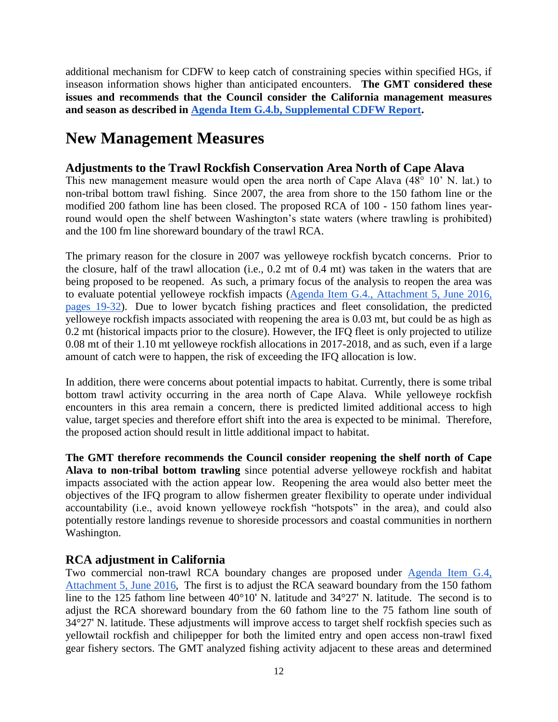additional mechanism for CDFW to keep catch of constraining species within specified HGs, if inseason information shows higher than anticipated encounters. **The GMT considered these issues and recommends that the Council consider the California management measures and season as described in [Agenda Item G.4.b, Supplemental CDFW Report.](http://www.pcouncil.org/wp-content/uploads/2016/06/G4a_Sup_CDFW_Rpt1_JUN2016BB.pdf)**

# **New Management Measures**

# **Adjustments to the Trawl Rockfish Conservation Area North of Cape Alava**

This new management measure would open the area north of Cape Alava (48° 10' N. lat.) to non-tribal bottom trawl fishing. Since 2007, the area from shore to the 150 fathom line or the modified 200 fathom line has been closed. The proposed RCA of 100 - 150 fathom lines yearround would open the shelf between Washington's state waters (where trawling is prohibited) and the 100 fm line shoreward boundary of the trawl RCA.

The primary reason for the closure in 2007 was yelloweye rockfish bycatch concerns. Prior to the closure, half of the trawl allocation (i.e., 0.2 mt of 0.4 mt) was taken in the waters that are being proposed to be reopened. As such, a primary focus of the analysis to reopen the area was to evaluate potential yelloweye rockfish impacts [\(Agenda Item G.4., Attachment 5, June 2016,](http://www.pcouncil.org/wp-content/uploads/2016/06/G4_Att5_DraftAppB_JUN2016BB.pdf)  [pages 19-32\)](http://www.pcouncil.org/wp-content/uploads/2016/06/G4_Att5_DraftAppB_JUN2016BB.pdf). Due to lower bycatch fishing practices and fleet consolidation, the predicted yelloweye rockfish impacts associated with reopening the area is 0.03 mt, but could be as high as 0.2 mt (historical impacts prior to the closure). However, the IFQ fleet is only projected to utilize 0.08 mt of their 1.10 mt yelloweye rockfish allocations in 2017-2018, and as such, even if a large amount of catch were to happen, the risk of exceeding the IFQ allocation is low.

In addition, there were concerns about potential impacts to habitat. Currently, there is some tribal bottom trawl activity occurring in the area north of Cape Alava. While yelloweye rockfish encounters in this area remain a concern, there is predicted limited additional access to high value, target species and therefore effort shift into the area is expected to be minimal. Therefore, the proposed action should result in little additional impact to habitat.

**The GMT therefore recommends the Council consider reopening the shelf north of Cape Alava to non-tribal bottom trawling** since potential adverse yelloweye rockfish and habitat impacts associated with the action appear low. Reopening the area would also better meet the objectives of the IFQ program to allow fishermen greater flexibility to operate under individual accountability (i.e., avoid known yelloweye rockfish "hotspots" in the area), and could also potentially restore landings revenue to shoreside processors and coastal communities in northern Washington.

# **RCA adjustment in California**

Two commercial non-trawl RCA boundary changes are proposed under [Agenda Item G.4,](http://www.pcouncil.org/wp-content/uploads/2016/06/G4_Att5_DraftAppB_JUN2016BB.pdf)  [Attachment 5](http://www.pcouncil.org/wp-content/uploads/2016/06/G4_Att5_DraftAppB_JUN2016BB.pdf)[, June 2016,](http://www.pcouncil.org/wp-content/uploads/2016/06/G4_Att2_Analysis_Doc_JUN2016BB.pdf) The first is to adjust the RCA seaward boundary from the 150 fathom line to the 125 fathom line between 40°10' N. latitude and 34°27' N. latitude. The second is to adjust the RCA shoreward boundary from the 60 fathom line to the 75 fathom line south of 34°27' N. latitude. These adjustments will improve access to target shelf rockfish species such as yellowtail rockfish and chilipepper for both the limited entry and open access non-trawl fixed gear fishery sectors. The GMT analyzed fishing activity adjacent to these areas and determined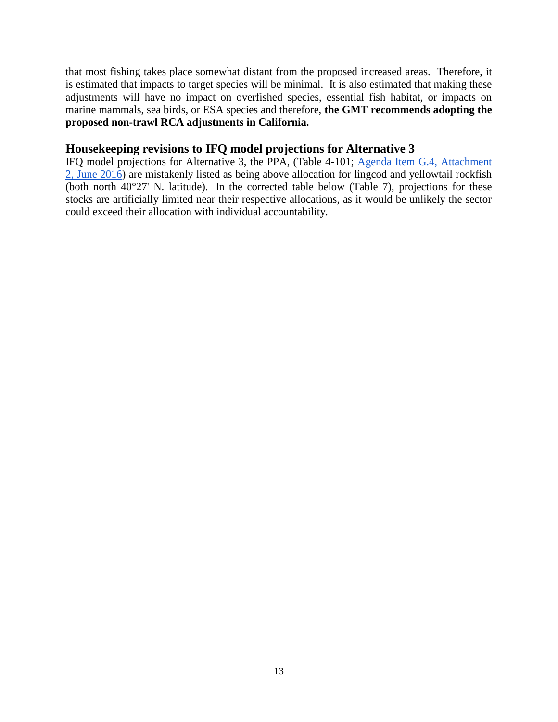that most fishing takes place somewhat distant from the proposed increased areas. Therefore, it is estimated that impacts to target species will be minimal. It is also estimated that making these adjustments will have no impact on overfished species, essential fish habitat, or impacts on marine mammals, sea birds, or ESA species and therefore, **the GMT recommends adopting the proposed non-trawl RCA adjustments in California.**

### **Housekeeping revisions to IFQ model projections for Alternative 3**

IFQ model projections for Alternative 3, the PPA, (Table 4-101; [Agenda Item G.4, Attachment](http://www.pcouncil.org/wp-content/uploads/2016/06/G4_Att2_Analysis_Doc_JUN2016BB.pdf)  [2, June 2016\)](http://www.pcouncil.org/wp-content/uploads/2016/06/G4_Att2_Analysis_Doc_JUN2016BB.pdf) are mistakenly listed as being above allocation for lingcod and yellowtail rockfish (both north 40°27' N. latitude). In the corrected table below (Table 7), projections for these stocks are artificially limited near their respective allocations, as it would be unlikely the sector could exceed their allocation with individual accountability.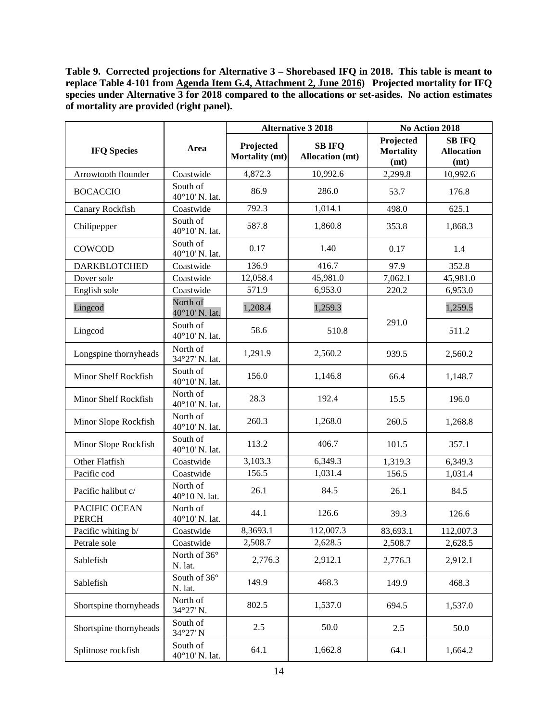**Table 9. Corrected projections for Alternative 3 – Shorebased IFQ in 2018. This table is meant to replace Table 4-101 from [Agenda Item G.4, Attachment 2, June 2016\)](http://www.pcouncil.org/wp-content/uploads/2016/06/G4_Att2_Analysis_Doc_JUN2016BB.pdf) Projected mortality for IFQ**  species under Alternative 3 for 2018 compared to the allocations or set-asides. No action estimates **of mortality are provided (right panel).**

|                               |                                |                             | <b>Alternative 3 2018</b>               |                                       | No Action 2018                             |  |  |
|-------------------------------|--------------------------------|-----------------------------|-----------------------------------------|---------------------------------------|--------------------------------------------|--|--|
| <b>IFQ Species</b>            | Area                           | Projected<br>Mortality (mt) | <b>SB IFQ</b><br><b>Allocation</b> (mt) | Projected<br><b>Mortality</b><br>(mt) | <b>SB IFQ</b><br><b>Allocation</b><br>(mt) |  |  |
| Arrowtooth flounder           | Coastwide                      | 4,872.3                     | 10,992.6                                | 2,299.8                               | 10,992.6                                   |  |  |
| <b>BOCACCIO</b>               | South of<br>40°10' N. lat.     | 86.9                        | 286.0                                   | 53.7                                  | 176.8                                      |  |  |
| Canary Rockfish               | Coastwide                      | 792.3                       | 1,014.1                                 | 498.0                                 | 625.1                                      |  |  |
| Chilipepper                   | South of<br>40°10' N. lat.     | 587.8                       | 1,860.8                                 | 353.8                                 | 1,868.3                                    |  |  |
| COWCOD                        | South of<br>40°10' N. lat.     | 0.17                        | 1.40                                    | 0.17                                  | 1.4                                        |  |  |
| <b>DARKBLOTCHED</b>           | Coastwide                      | 136.9                       | 416.7                                   | 97.9                                  | 352.8                                      |  |  |
| Dover sole                    | Coastwide                      | 12,058.4                    | 45,981.0                                | 7,062.1                               | 45,981.0                                   |  |  |
| English sole                  | Coastwide                      | 571.9                       | 6,953.0                                 | 220.2                                 | 6,953.0                                    |  |  |
| Lingcod                       | North of<br>40°10' N. lat.     | 1,208.4                     | 1,259.3                                 |                                       | 1,259.5                                    |  |  |
| Lingcod                       | South of<br>40°10' N. lat.     | 58.6                        | 510.8                                   | 291.0                                 | 511.2                                      |  |  |
| Longspine thornyheads         | North of<br>34°27' N. lat.     | 1,291.9                     | 2,560.2                                 | 939.5                                 | 2,560.2                                    |  |  |
| Minor Shelf Rockfish          | South of<br>40°10' N. lat.     | 156.0                       | 1,146.8                                 | 66.4                                  | 1,148.7                                    |  |  |
| Minor Shelf Rockfish          | North of<br>40°10' N. lat.     | 28.3                        | 192.4                                   | 15.5                                  | 196.0                                      |  |  |
| Minor Slope Rockfish          | North of<br>40°10' N. lat.     | 260.3                       | 1,268.0                                 | 260.5                                 | 1,268.8                                    |  |  |
| Minor Slope Rockfish          | South of<br>40°10' N. lat.     | 113.2                       | 406.7                                   | 101.5                                 | 357.1                                      |  |  |
| Other Flatfish                | Coastwide                      | 3,103.3                     | 6,349.3                                 | 1,319.3                               | 6,349.3                                    |  |  |
| Pacific cod                   | Coastwide                      | 156.5                       | 1,031.4                                 | 156.5                                 | 1,031.4                                    |  |  |
| Pacific halibut c/            | North of<br>40°10 N. lat.      | 26.1                        | 84.5                                    | 26.1                                  | 84.5                                       |  |  |
| PACIFIC OCEAN<br><b>PERCH</b> | North of<br>40°10' N. lat.     | 44.1                        | 126.6                                   | 39.3                                  | 126.6                                      |  |  |
| Pacific whiting b/            | Coastwide                      | 8,3693.1                    | 112,007.3                               | 83,693.1                              | 112,007.3                                  |  |  |
| Petrale sole                  | Coastwide                      | 2,508.7                     | 2,628.5                                 | 2,508.7                               | 2,628.5                                    |  |  |
| Sablefish                     | North of 36°<br>N. lat.        | 2,776.3                     | 2,912.1                                 | 2,776.3                               | 2,912.1                                    |  |  |
| Sablefish                     | South of $36^\circ$<br>N. lat. | 149.9                       | 468.3                                   | 149.9                                 | 468.3                                      |  |  |
| Shortspine thornyheads        | North of<br>34°27' N.          | 802.5                       | 1,537.0                                 | 694.5                                 | 1,537.0                                    |  |  |
| Shortspine thornyheads        | South of<br>34°27' N           | 2.5                         | 50.0                                    | 2.5                                   | 50.0                                       |  |  |
| Splitnose rockfish            | South of<br>40°10' N. lat.     | 64.1                        | 1,662.8                                 | 64.1                                  | 1,664.2                                    |  |  |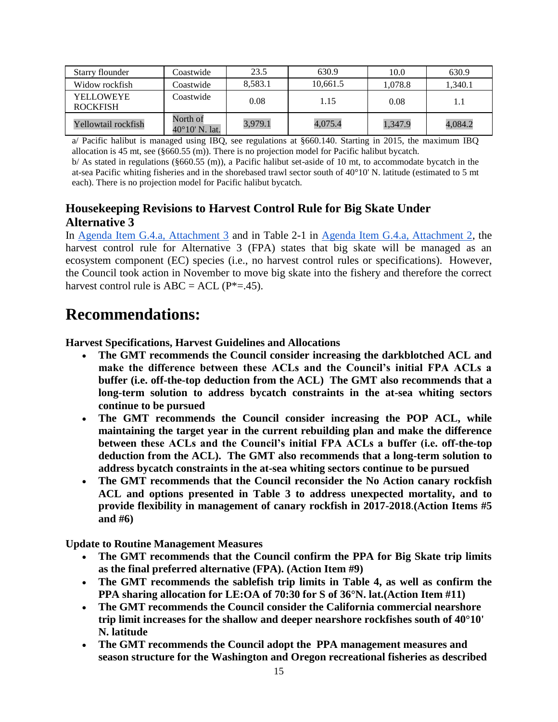| Starry flounder              | Coastwide                           | 23.5    | 630.9    | 10.0    | 630.9   |
|------------------------------|-------------------------------------|---------|----------|---------|---------|
| Widow rockfish               | Coastwide                           | 8,583.1 | 10,661.5 | 1.078.8 | 1,340.1 |
| YELLOWEYE<br><b>ROCKFISH</b> | Coastwide                           | 0.08    | 1.15     | 0.08    |         |
| Yellowtail rockfish          | North of<br>$40^{\circ}10'$ N. lat. | 3,979.1 | 4,075.4  | 1,347.9 | 4,084.2 |

a/ Pacific halibut is managed using IBQ, see regulations at §660.140. Starting in 2015, the maximum IBQ allocation is 45 mt, see (§660.55 (m)). There is no projection model for Pacific halibut bycatch.

b/ As stated in regulations (§660.55 (m)), a Pacific halibut set-aside of 10 mt, to accommodate bycatch in the at-sea Pacific whiting fisheries and in the shorebased trawl sector south of  $40^{\circ}10'$  N. latitude (estimated to 5 mt each). There is no projection model for Pacific halibut bycatch.

# **Housekeeping Revisions to Harvest Control Rule for Big Skate Under Alternative 3**

In [Agenda Item G.4.a, Attachment 3](http://www.pcouncil.org/wp-content/uploads/2016/06/G4_Att3_SpexTables_JUN2016BB.pdf) and in Table 2-1 in [Agenda Item G.4.a, Attachment 2,](http://www.pcouncil.org/wp-content/uploads/2016/06/G4_Att2_Analysis_Doc_JUN2016BB.pdf) the harvest control rule for Alternative 3 (FPA) states that big skate will be managed as an ecosystem component (EC) species (i.e., no harvest control rules or specifications). However, the Council took action in November to move big skate into the fishery and therefore the correct harvest control rule is  $ABC = ACL$  ( $P^*=$ .45).

# **Recommendations:**

**Harvest Specifications, Harvest Guidelines and Allocations**

- **The GMT recommends the Council consider increasing the darkblotched ACL and make the difference between these ACLs and the Council's initial FPA ACLs a buffer (i.e. off-the-top deduction from the ACL) The GMT also recommends that a long-term solution to address bycatch constraints in the at-sea whiting sectors continue to be pursued**
- **The GMT recommends the Council consider increasing the POP ACL, while maintaining the target year in the current rebuilding plan and make the difference between these ACLs and the Council's initial FPA ACLs a buffer (i.e. off-the-top deduction from the ACL). The GMT also recommends that a long-term solution to address bycatch constraints in the at-sea whiting sectors continue to be pursued**
- **The GMT recommends that the Council reconsider the No Action canary rockfish ACL and options presented in [Table 3](#page-6-0) to address unexpected mortality, and to provide flexibility in management of canary rockfish in 2017-2018**.**(Action Items #5 and #6)**

**Update to Routine Management Measures**

- **The GMT recommends that the Council confirm the PPA for Big Skate trip limits as the final preferred alternative (FPA). (Action Item #9)**
- **The GMT recommends the sablefish trip limits in [Table 4,](#page-8-0) as well as confirm the PPA sharing allocation for LE:OA of 70:30 for S of 36°N. lat.(Action Item #11)**
- **The GMT recommends the Council consider the California commercial nearshore trip limit increases for the shallow and deeper nearshore rockfishes south of 40°10' N. latitude**
- **The GMT recommends the Council adopt the PPA management measures and season structure for the Washington and Oregon recreational fisheries as described**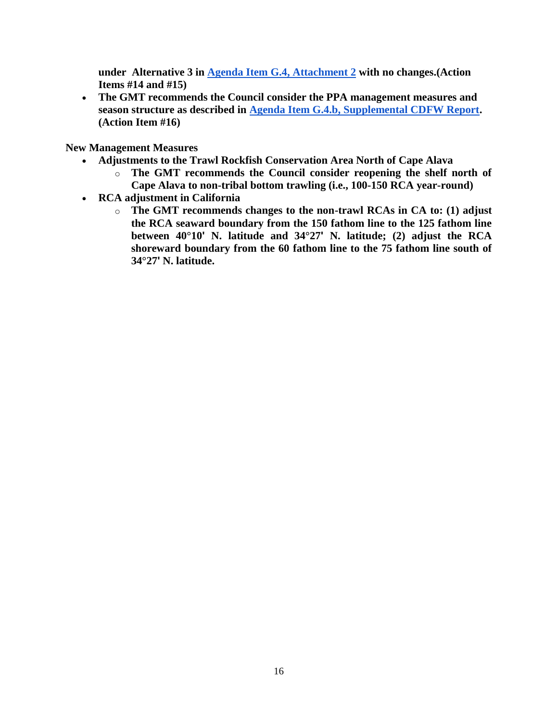**under Alternative 3 in [Agenda Item G.4, Attachment 2](http://www.pcouncil.org/wp-content/uploads/2016/06/G4_Att2_Analysis_Doc_JUN2016BB.pdf) with no changes.(Action Items #14 and #15)**

 **The GMT recommends the Council consider the PPA management measures and season structure as described in [Agenda Item G.4.b, Supplemental CDFW Report.](http://www.pcouncil.org/wp-content/uploads/2016/06/G4a_Sup_CDFW_Rpt1_JUN2016BB.pdf) (Action Item #16)**

**New Management Measures**

- **Adjustments to the Trawl Rockfish Conservation Area North of Cape Alava**
	- o **The GMT recommends the Council consider reopening the shelf north of Cape Alava to non-tribal bottom trawling (i.e., 100-150 RCA year-round)**
- **RCA adjustment in California** 
	- o **The GMT recommends changes to the non-trawl RCAs in CA to: (1) adjust the RCA seaward boundary from the 150 fathom line to the 125 fathom line between 40°10' N. latitude and 34°27' N. latitude; (2) adjust the RCA shoreward boundary from the 60 fathom line to the 75 fathom line south of 34°27' N. latitude.**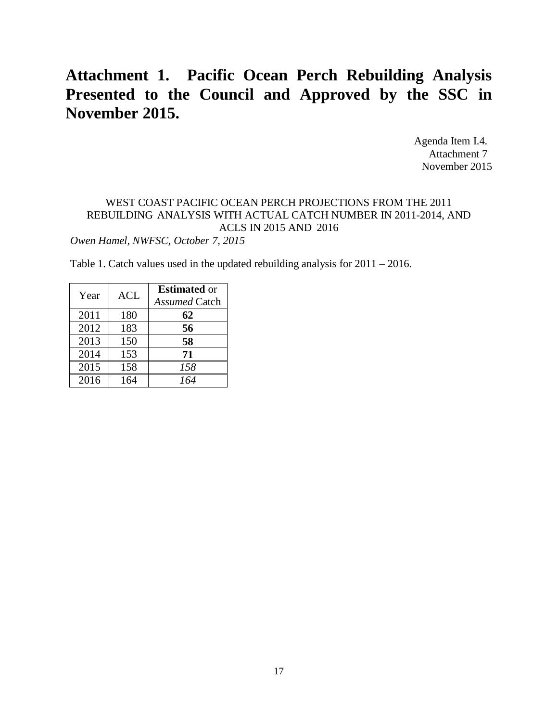# **Attachment 1. Pacific Ocean Perch Rebuilding Analysis Presented to the Council and Approved by the SSC in November 2015.**

Agenda Item I.4. Attachment 7 November 2015

## WEST COAST PACIFIC OCEAN PERCH PROJECTIONS FROM THE 2011 REBUILDING ANALYSIS WITH ACTUAL CATCH NUMBER IN 2011-2014, AND ACLS IN 2015 AND 2016

*Owen Hamel, NWFSC, October 7, 2015*

Table 1. Catch values used in the updated rebuilding analysis for 2011 – 2016.

| Year | <b>ACL</b> | <b>Estimated</b> or<br><b>Assumed Catch</b> |
|------|------------|---------------------------------------------|
| 2011 | 180        | 62                                          |
| 2012 | 183        | 56                                          |
| 2013 | 150        | 58                                          |
| 2014 | 153        | 71                                          |
| 2015 | 158        | 158                                         |
| 2016 | 164        | 164                                         |